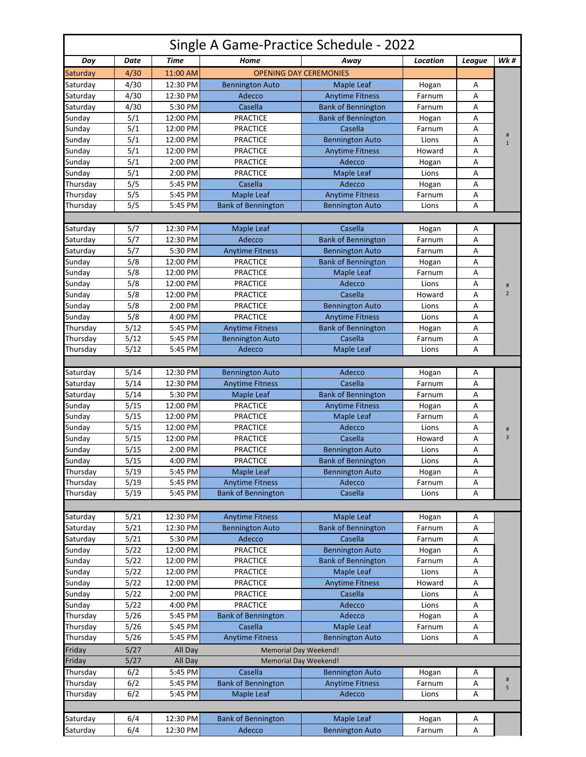| Single A Game-Practice Schedule - 2022 |                                                                          |          |                                  |                               |                 |        |                |  |  |  |  |
|----------------------------------------|--------------------------------------------------------------------------|----------|----------------------------------|-------------------------------|-----------------|--------|----------------|--|--|--|--|
| Day                                    | Date                                                                     | Time     | Home                             | Away                          | <b>Location</b> | League | Wk #           |  |  |  |  |
| Saturday                               | 4/30                                                                     | 11:00 AM |                                  | <b>OPENING DAY CEREMONIES</b> |                 |        |                |  |  |  |  |
| Saturday                               | 4/30                                                                     | 12:30 PM | <b>Bennington Auto</b>           | <b>Maple Leaf</b>             | Hogan           | Α      |                |  |  |  |  |
| Saturday                               | 4/30                                                                     | 12:30 PM | Adecco                           | <b>Anytime Fitness</b>        | Farnum          | Α      |                |  |  |  |  |
| Saturday                               | 4/30                                                                     | 5:30 PM  | Casella                          | <b>Bank of Bennington</b>     | Farnum          | Α      |                |  |  |  |  |
| Sunday                                 | 5/1                                                                      | 12:00 PM | <b>PRACTICE</b>                  | <b>Bank of Bennington</b>     | Hogan           | Α      |                |  |  |  |  |
| Sunday                                 | 5/1                                                                      | 12:00 PM | <b>PRACTICE</b>                  | Casella                       | Farnum          | A      |                |  |  |  |  |
| Sunday                                 | 5/1                                                                      | 12:00 PM | <b>PRACTICE</b>                  | <b>Bennington Auto</b>        | Lions           | Α      | #              |  |  |  |  |
| Sunday                                 | 5/1                                                                      | 12:00 PM | <b>PRACTICE</b>                  | <b>Anytime Fitness</b>        | Howard          | Α      | $\mathbf{1}$   |  |  |  |  |
| Sunday                                 | 5/1                                                                      | 2:00 PM  | <b>PRACTICE</b>                  | Adecco                        | Hogan           | Α      |                |  |  |  |  |
| Sunday                                 | 5/1                                                                      | 2:00 PM  | <b>PRACTICE</b>                  | <b>Maple Leaf</b>             | Lions           | Α      |                |  |  |  |  |
| Thursday                               | 5/5                                                                      | 5:45 PM  | Casella                          | Adecco                        |                 | А      |                |  |  |  |  |
|                                        |                                                                          |          |                                  |                               | Hogan           |        |                |  |  |  |  |
| Thursday                               | 5/5                                                                      | 5:45 PM  | Maple Leaf                       | <b>Anytime Fitness</b>        | Farnum          | А      |                |  |  |  |  |
| Thursday                               | 5/5                                                                      | 5:45 PM  | <b>Bank of Bennington</b>        | <b>Bennington Auto</b>        | Lions           | А      |                |  |  |  |  |
|                                        |                                                                          |          |                                  |                               |                 |        |                |  |  |  |  |
| Saturday                               | 5/7                                                                      | 12:30 PM | Maple Leaf                       | Casella                       | Hogan           | А      |                |  |  |  |  |
| Saturday                               | 5/7                                                                      | 12:30 PM | Adecco                           | <b>Bank of Bennington</b>     | Farnum          | Α      |                |  |  |  |  |
| Saturday                               | 5/7                                                                      | 5:30 PM  | <b>Anytime Fitness</b>           | <b>Bennington Auto</b>        | Farnum          | Α      |                |  |  |  |  |
| Sunday                                 | 5/8                                                                      | 12:00 PM | <b>PRACTICE</b>                  | <b>Bank of Bennington</b>     | Hogan           | Α      |                |  |  |  |  |
| Sunday                                 | 5/8                                                                      | 12:00 PM | <b>PRACTICE</b>                  | <b>Maple Leaf</b>             | Farnum          | A      |                |  |  |  |  |
| Sunday                                 | 5/8                                                                      | 12:00 PM | <b>PRACTICE</b>                  | Adecco                        | Lions           | Α      | #              |  |  |  |  |
| Sunday                                 | 5/8                                                                      | 12:00 PM | <b>PRACTICE</b>                  | Casella                       | Howard          | A      | $\overline{2}$ |  |  |  |  |
| Sunday                                 | 5/8                                                                      | 2:00 PM  | <b>PRACTICE</b>                  | <b>Bennington Auto</b>        | Lions           | Α      |                |  |  |  |  |
| Sunday                                 | 5/8                                                                      | 4:00 PM  | <b>PRACTICE</b>                  | <b>Anytime Fitness</b>        | Lions           | A      |                |  |  |  |  |
| Thursday                               | 5/12                                                                     | 5:45 PM  | <b>Anytime Fitness</b>           | <b>Bank of Bennington</b>     | Hogan           | Α      |                |  |  |  |  |
| Thursday                               | 5/12                                                                     | 5:45 PM  |                                  | Casella                       | Farnum          | А      |                |  |  |  |  |
|                                        | 5/12                                                                     | 5:45 PM  | <b>Bennington Auto</b><br>Adecco |                               |                 | A      |                |  |  |  |  |
| Thursday                               |                                                                          |          |                                  | <b>Maple Leaf</b>             | Lions           |        |                |  |  |  |  |
|                                        |                                                                          |          |                                  |                               |                 |        |                |  |  |  |  |
| Saturday                               | 5/14                                                                     | 12:30 PM | <b>Bennington Auto</b>           | Adecco                        | Hogan           | А      |                |  |  |  |  |
| Saturday                               | 5/14                                                                     | 12:30 PM | <b>Anytime Fitness</b>           | Casella                       | Farnum          | А      |                |  |  |  |  |
| Saturday                               | 5/14                                                                     | 5:30 PM  | Maple Leaf                       | <b>Bank of Bennington</b>     | Farnum          | Α      |                |  |  |  |  |
| Sunday                                 | 5/15                                                                     | 12:00 PM | <b>PRACTICE</b>                  | <b>Anytime Fitness</b>        | Hogan           | А      |                |  |  |  |  |
| Sunday                                 | 5/15                                                                     | 12:00 PM | <b>PRACTICE</b>                  | <b>Maple Leaf</b>             | Farnum          | Α      |                |  |  |  |  |
| Sunday                                 | 5/15                                                                     | 12:00 PM | <b>PRACTICE</b>                  | Adecco                        | Lions           | Α      | #              |  |  |  |  |
| Sunday                                 | 5/15                                                                     | 12:00 PM | <b>PRACTICE</b>                  | Casella                       | Howard          | A      | $\overline{3}$ |  |  |  |  |
| Sunday                                 | 5/15                                                                     | 2:00 PM  | <b>PRACTICE</b>                  | <b>Bennington Auto</b>        | Lions           | Α      |                |  |  |  |  |
| Sunday                                 | 5/15                                                                     | 4:00 PM  | <b>PRACTICE</b>                  | <b>Bank of Bennington</b>     | Lions           | Α      |                |  |  |  |  |
| Thursday                               | 5/19                                                                     | 5:45 PM  | Maple Leaf                       | <b>Bennington Auto</b>        | Hogan           | Α      |                |  |  |  |  |
| Thursday                               | 5/19                                                                     | 5:45 PM  | <b>Anytime Fitness</b>           | Adecco                        | Farnum          | Α      |                |  |  |  |  |
| Thursday                               | 5/19                                                                     | 5:45 PM  | <b>Bank of Bennington</b>        | Casella                       | Lions           | А      |                |  |  |  |  |
|                                        |                                                                          |          |                                  |                               |                 |        |                |  |  |  |  |
|                                        | 5/21                                                                     | 12:30 PM |                                  |                               |                 |        |                |  |  |  |  |
| Saturday                               |                                                                          |          | <b>Anytime Fitness</b>           | Maple Leaf                    | Hogan           | А      |                |  |  |  |  |
| Saturday                               | 5/21                                                                     | 12:30 PM | <b>Bennington Auto</b>           | <b>Bank of Bennington</b>     | Farnum          | Α      |                |  |  |  |  |
| Saturday                               | 5/21                                                                     | 5:30 PM  | Adecco                           | Casella                       | Farnum          | А      |                |  |  |  |  |
| Sunday                                 | 5/22                                                                     | 12:00 PM | <b>PRACTICE</b>                  | <b>Bennington Auto</b>        | Hogan           | Α      |                |  |  |  |  |
| Sunday                                 | 5/22                                                                     | 12:00 PM | <b>PRACTICE</b>                  | <b>Bank of Bennington</b>     | Farnum          | Α      |                |  |  |  |  |
| Sunday                                 | 5/22                                                                     | 12:00 PM | PRACTICE                         | Maple Leaf                    | Lions           | Α      |                |  |  |  |  |
| Sunday                                 | $5/22$                                                                   | 12:00 PM | <b>PRACTICE</b>                  | <b>Anytime Fitness</b>        | Howard          | Α      |                |  |  |  |  |
| Sunday                                 | 5/22                                                                     | 2:00 PM  | <b>PRACTICE</b>                  | Casella                       | Lions           | А      |                |  |  |  |  |
| Sunday                                 | 5/22                                                                     | 4:00 PM  | <b>PRACTICE</b>                  | Adecco                        | Lions           | А      |                |  |  |  |  |
| Thursday                               | 5/26                                                                     | 5:45 PM  | <b>Bank of Bennington</b>        | Adecco                        | Hogan           | А      |                |  |  |  |  |
| Thursday                               | 5/26                                                                     | 5:45 PM  | Casella                          | Maple Leaf                    | Farnum          | Α      |                |  |  |  |  |
| Thursday                               | 5/26                                                                     | 5:45 PM  | <b>Anytime Fitness</b>           | <b>Bennington Auto</b>        | Lions           | А      |                |  |  |  |  |
| Friday                                 | 5/27                                                                     | All Day  |                                  |                               |                 |        |                |  |  |  |  |
| Friday                                 | <b>Memorial Day Weekend!</b><br>5/27<br>All Day<br>Memorial Day Weekend! |          |                                  |                               |                 |        |                |  |  |  |  |
|                                        |                                                                          |          |                                  |                               |                 |        |                |  |  |  |  |
| Thursday                               | 6/2                                                                      | 5:45 PM  | Casella                          | <b>Bennington Auto</b>        | Hogan           | А      | #              |  |  |  |  |
| Thursday                               | 6/2                                                                      | 5:45 PM  | <b>Bank of Bennington</b>        | <b>Anytime Fitness</b>        | Farnum          | А      | 5              |  |  |  |  |
| Thursday                               | 6/2                                                                      | 5:45 PM  | Maple Leaf                       | Adecco                        | Lions           | А      |                |  |  |  |  |
|                                        |                                                                          |          |                                  |                               |                 |        |                |  |  |  |  |
| Saturday                               | 6/4                                                                      | 12:30 PM | <b>Bank of Bennington</b>        | Maple Leaf                    | Hogan           | Α      |                |  |  |  |  |
| Saturday                               | 6/4                                                                      | 12:30 PM | Adecco                           | <b>Bennington Auto</b>        | Farnum          | A      |                |  |  |  |  |